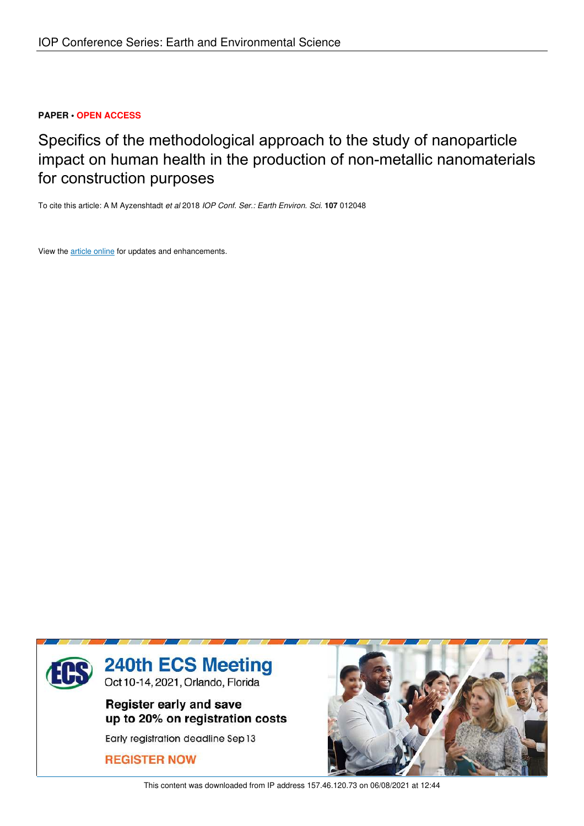## **PAPER • OPEN ACCESS**

Specifics of the methodological approach to the study of nanoparticle impact on human health in the production of non-metallic nanomaterials for construction purposes

To cite this article: A M Ayzenshtadt *et al* 2018 *IOP Conf. Ser.: Earth Environ. Sci.* **107** 012048

View the article online for updates and enhancements.



This content was downloaded from IP address 157.46.120.73 on 06/08/2021 at 12:44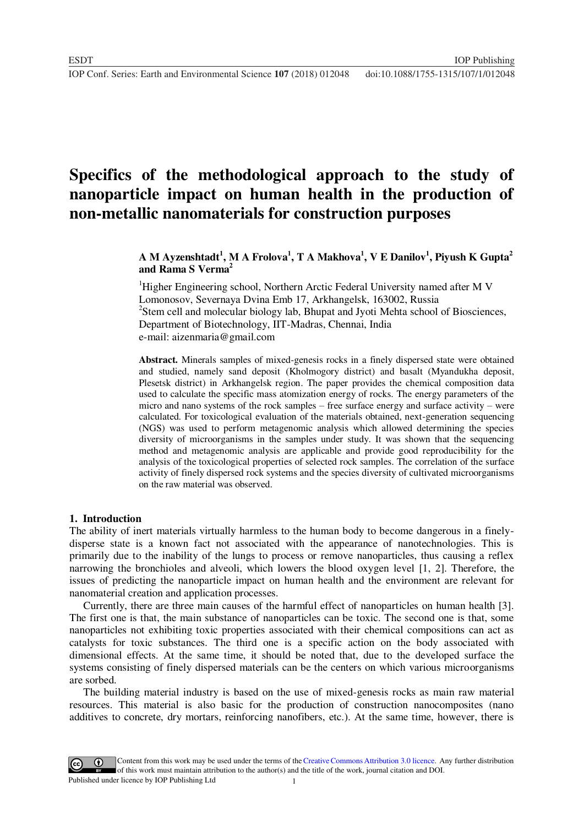# **Specifics of the methodological approach to the study of nanoparticle impact on human health in the production of non-metallic nanomaterials for construction purposes**

## **A M Ayzenshtadt<sup>1</sup> , M A Frolova<sup>1</sup> , T A Makhova<sup>1</sup> , V E Danilov<sup>1</sup> , Piyush K Gupta<sup>2</sup> and Rama S Verma<sup>2</sup>**

<sup>1</sup>Higher Engineering school, Northern Arctic Federal University named after M V Lomonosov, Severnaya Dvina Emb 17, Arkhangelsk, 163002, Russia <sup>2</sup>Stem cell and molecular biology lab, Bhupat and Jyoti Mehta school of Biosciences, Department of Biotechnology, IIT-Madras, Chennai, India e-mail: aizenmaria@gmail.com

**Abstract.** Minerals samples of mixed-genesis rocks in a finely dispersed state were obtained and studied, namely sand deposit (Kholmogory district) and basalt (Myandukha deposit, Plesetsk district) in Arkhangelsk region. The paper provides the chemical composition data used to calculate the specific mass atomization energy of rocks. The energy parameters of the micro and nano systems of the rock samples – free surface energy and surface activity – were calculated. For toxicological evaluation of the materials obtained, next-generation sequencing (NGS) was used to perform metagenomic analysis which allowed determining the species diversity of microorganisms in the samples under study. It was shown that the sequencing method and metagenomic analysis are applicable and provide good reproducibility for the analysis of the toxicological properties of selected rock samples. The correlation of the surface activity of finely dispersed rock systems and the species diversity of cultivated microorganisms on the raw material was observed.

#### **1. Introduction**

The ability of inert materials virtually harmless to the human body to become dangerous in a finelydisperse state is a known fact not associated with the appearance of nanotechnologies. This is primarily due to the inability of the lungs to process or remove nanoparticles, thus causing a reflex narrowing the bronchioles and alveoli, which lowers the blood oxygen level [1, 2]. Therefore, the issues of predicting the nanoparticle impact on human health and the environment are relevant for nanomaterial creation and application processes.

Currently, there are three main causes of the harmful effect of nanoparticles on human health [3]. The first one is that, the main substance of nanoparticles can be toxic. The second one is that, some nanoparticles not exhibiting toxic properties associated with their chemical compositions can act as catalysts for toxic substances. The third one is a specific action on the body associated with dimensional effects. At the same time, it should be noted that, due to the developed surface the systems consisting of finely dispersed materials can be the centers on which various microorganisms are sorbed.

The building material industry is based on the use of mixed-genesis rocks as main raw material resources. This material is also basic for the production of construction nanocomposites (nano additives to concrete, dry mortars, reinforcing nanofibers, etc.). At the same time, however, there is

1 Content from this work may be used under the terms of the Creative Commons Attribution 3.0 licence. Any further distribution of this work must maintain attribution to the author(s) and the title of the work, journal citation and DOI. Published under licence by IOP Publishing Ltd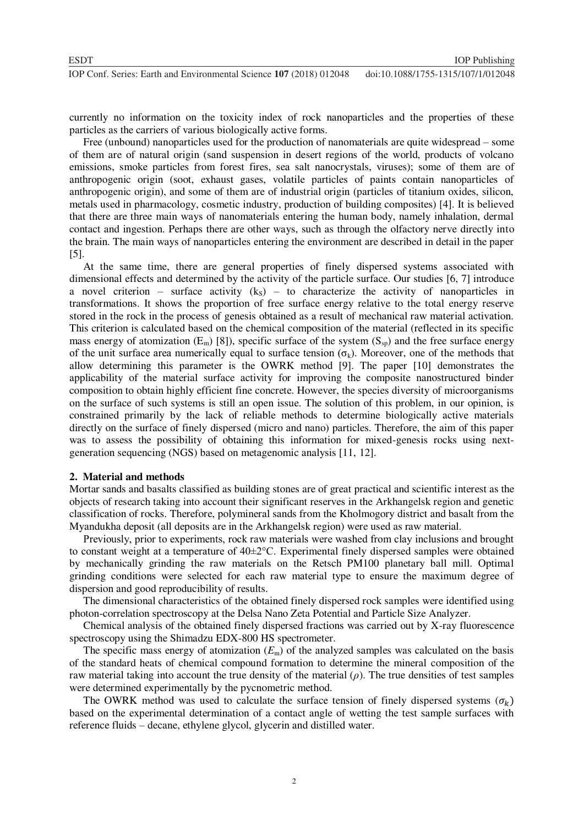currently no information on the toxicity index of rock nanoparticles and the properties of these particles as the carriers of various biologically active forms.

Free (unbound) nanoparticles used for the production of nanomaterials are quite widespread – some of them are of natural origin (sand suspension in desert regions of the world, products of volcano emissions, smoke particles from forest fires, sea salt nanocrystals, viruses); some of them are of anthropogenic origin (soot, exhaust gases, volatile particles of paints contain nanoparticles of anthropogenic origin), and some of them are of industrial origin (particles of titanium oxides, silicon, metals used in pharmacology, cosmetic industry, production of building composites) [4]. It is believed that there are three main ways of nanomaterials entering the human body, namely inhalation, dermal contact and ingestion. Perhaps there are other ways, such as through the olfactory nerve directly into the brain. The main ways of nanoparticles entering the environment are described in detail in the paper [5].

At the same time, there are general properties of finely dispersed systems associated with dimensional effects and determined by the activity of the particle surface. Our studies [6, 7] introduce a novel criterion – surface activity  $(k<sub>S</sub>)$  – to characterize the activity of nanoparticles in transformations. It shows the proportion of free surface energy relative to the total energy reserve stored in the rock in the process of genesis obtained as a result of mechanical raw material activation. This criterion is calculated based on the chemical composition of the material (reflected in its specific mass energy of atomization  $(E_m)$  [8]), specific surface of the system  $(S_m)$  and the free surface energy of the unit surface area numerically equal to surface tension  $(\sigma_k)$ . Moreover, one of the methods that allow determining this parameter is the OWRK method [9]. The paper [10] demonstrates the applicability of the material surface activity for improving the composite nanostructured binder composition to obtain highly efficient fine concrete. However, the species diversity of microorganisms on the surface of such systems is still an open issue. The solution of this problem, in our opinion, is constrained primarily by the lack of reliable methods to determine biologically active materials directly on the surface of finely dispersed (micro and nano) particles. Therefore, the aim of this paper was to assess the possibility of obtaining this information for mixed-genesis rocks using nextgeneration sequencing (NGS) based on metagenomic analysis [11, 12].

#### **2. Material and methods**

Mortar sands and basalts classified as building stones are of great practical and scientific interest as the objects of research taking into account their significant reserves in the Arkhangelsk region and genetic classification of rocks. Therefore, polymineral sands from the Kholmogory district and basalt from the Myandukha deposit (all deposits are in the Arkhangelsk region) were used as raw material.

Previously, prior to experiments, rock raw materials were washed from clay inclusions and brought to constant weight at a temperature of 40±2°C. Experimental finely dispersed samples were obtained by mechanically grinding the raw materials on the Retsch PM100 planetary ball mill. Optimal grinding conditions were selected for each raw material type to ensure the maximum degree of dispersion and good reproducibility of results.

The dimensional characteristics of the obtained finely dispersed rock samples were identified using photon-correlation spectroscopy at the Delsa Nano Zeta Potential and Particle Size Analyzer.

Chemical analysis of the obtained finely dispersed fractions was carried out by X-ray fluorescence spectroscopy using the Shimadzu EDX-800 HS spectrometer.

The specific mass energy of atomization  $(E<sub>m</sub>)$  of the analyzed samples was calculated on the basis of the standard heats of chemical compound formation to determine the mineral composition of the raw material taking into account the true density of the material (*ρ*). The true densities of test samples were determined experimentally by the pycnometric method.

The OWRK method was used to calculate the surface tension of finely dispersed systems  $(\sigma_k)$ based on the experimental determination of a contact angle of wetting the test sample surfaces with reference fluids – decane, ethylene glycol, glycerin and distilled water.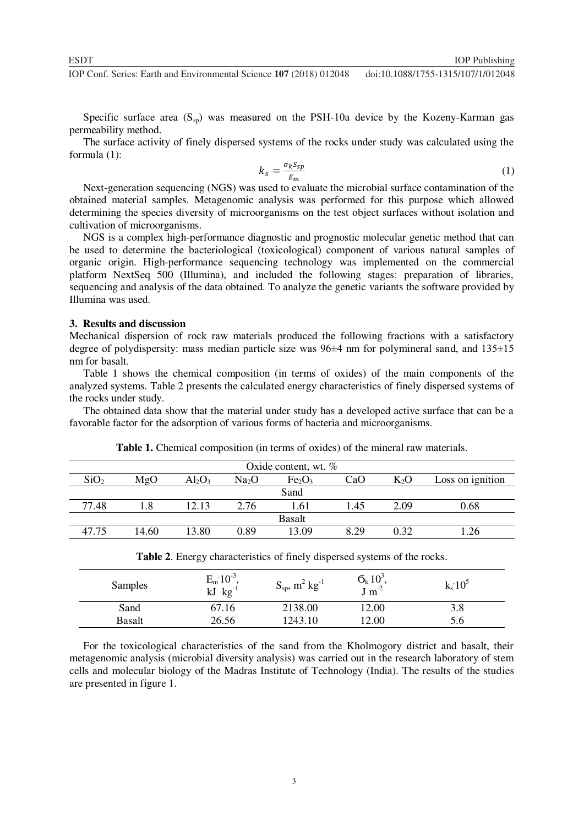**10P Conf. Series: Earth and Environmental Science 107** (2018) 012048 doi:10.1088/1755-1315/107/1/012048

Specific surface area  $(S_{\rm SD})$  was measured on the PSH-10a device by the Kozeny-Karman gas permeability method.

The surface activity of finely dispersed systems of the rocks under study was calculated using the formula (1):

$$
k_s = \frac{\sigma_k S_{sp}}{E_m} \tag{1}
$$

Next-generation sequencing (NGS) was used to evaluate the microbial surface contamination of the obtained material samples. Metagenomic analysis was performed for this purpose which allowed determining the species diversity of microorganisms on the test object surfaces without isolation and cultivation of microorganisms.

NGS is a complex high-performance diagnostic and prognostic molecular genetic method that can be used to determine the bacteriological (toxicological) component of various natural samples of organic origin. High-performance sequencing technology was implemented on the commercial platform NextSeq 500 (Illumina), and included the following stages: preparation of libraries, sequencing and analysis of the data obtained. To analyze the genetic variants the software provided by Illumina was used.

#### **3. Results and discussion**

Mechanical dispersion of rock raw materials produced the following fractions with a satisfactory degree of polydispersity: mass median particle size was 96±4 nm for polymineral sand, and 135±15 nm for basalt.

Table 1 shows the chemical composition (in terms of oxides) of the main components of the analyzed systems. Table 2 presents the calculated energy characteristics of finely dispersed systems of the rocks under study.

The obtained data show that the material under study has a developed active surface that can be a favorable factor for the adsorption of various forms of bacteria and microorganisms.

| Oxide content, wt. $%$ |       |           |                   |                                |      |        |                  |  |  |
|------------------------|-------|-----------|-------------------|--------------------------------|------|--------|------------------|--|--|
| SiO <sub>2</sub>       | MgO   | $Al_2O_3$ | Na <sub>2</sub> O | Fe <sub>2</sub> O <sub>3</sub> | CaO  | $K_2O$ | Loss on ignition |  |  |
| Sand                   |       |           |                   |                                |      |        |                  |  |  |
| 77.48                  |       | 12.13     | 2.76              | 1.61                           | 1.45 | 2.09   | 0.68             |  |  |
| <b>Basalt</b>          |       |           |                   |                                |      |        |                  |  |  |
| 47.75                  | 14.60 | 13.80     | 0.89              | 13.09                          | 8.29 | 0.32   |                  |  |  |

**Table 1.** Chemical composition (in terms of oxides) of the mineral raw materials.

| Table 2. Energy characteristics of finely dispersed systems of the rocks. |
|---------------------------------------------------------------------------|
|---------------------------------------------------------------------------|

| Samples       | $E_m 10^{-3}$<br>$kg^{-1}$<br>kJ | $S_{sp}$ , m <sup>2</sup> kg <sup>-1</sup> | $\sigma_{k}$ 10 <sup>3</sup><br>$\int$ m <sup>-2</sup> | $k_s 10^5$ |
|---------------|----------------------------------|--------------------------------------------|--------------------------------------------------------|------------|
| Sand          | 67.16                            | 2138.00                                    | 12.00                                                  | 3.8        |
| <b>Basalt</b> | 26.56                            | 1243.10                                    | 2.00                                                   | D.O        |

For the toxicological characteristics of the sand from the Kholmogory district and basalt, their metagenomic analysis (microbial diversity analysis) was carried out in the research laboratory of stem cells and molecular biology of the Madras Institute of Technology (India). The results of the studies are presented in figure 1.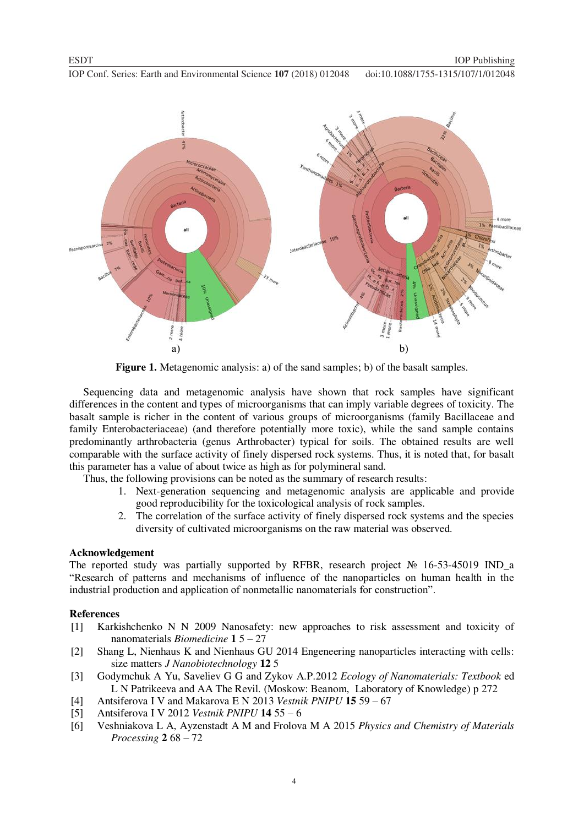**10P Conf. Series: Earth and Environmental Science 107** (2018) 012048 doi:10.1088/1755-1315/107/1/012048



**Figure 1.** Metagenomic analysis: a) of the sand samples; b) of the basalt samples.

Sequencing data and metagenomic analysis have shown that rock samples have significant differences in the content and types of microorganisms that can imply variable degrees of toxicity. The basalt sample is richer in the content of various groups of microorganisms (family Bacillaceae and family Enterobacteriaceae) (and therefore potentially more toxic), while the sand sample contains predominantly arthrobacteria (genus Arthrobacter) typical for soils. The obtained results are well comparable with the surface activity of finely dispersed rock systems. Thus, it is noted that, for basalt this parameter has a value of about twice as high as for polymineral sand.

Thus, the following provisions can be noted as the summary of research results:

- 1. Next-generation sequencing and metagenomic analysis are applicable and provide good reproducibility for the toxicological analysis of rock samples.
- 2. The correlation of the surface activity of finely dispersed rock systems and the species diversity of cultivated microorganisms on the raw material was observed.

### **Acknowledgement**

The reported study was partially supported by RFBR, research project № 16-53-45019 IND\_a "Research of patterns and mechanisms of influence of the nanoparticles on human health in the industrial production and application of nonmetallic nanomaterials for construction".

#### **References**

- [1] Karkishchenko N N 2009 Nanosafety: new approaches to risk assessment and toxicity of nanomaterials *Biomedicine* **1** 5 – 27
- [2] Shang L, Nienhaus K and Nienhaus GU 2014 Engeneering nanoparticles interacting with cells: size matters *J Nanobiotechnology* **12** 5
- [3] Godymchuk A Yu, Saveliev G G and Zykov A.P.2012 *Ecology of Nanomaterials: Textbook* ed L N Patrikeeva and AA The Revil. (Moskow: Beanom, Laboratory of Knowledge) p 272
- [4] Antsiferova I V and Makarova E N 2013 *Vestnik PNIPU* **15** 59 67
- [5] Antsiferova I V 2012 *Vestnik PNIPU* **14** 55 6
- [6] Veshniakova L A, Ayzenstadt A M and Frolova M A 2015 *Physics and Chemistry of Materials Processing* **2** 68 – 72